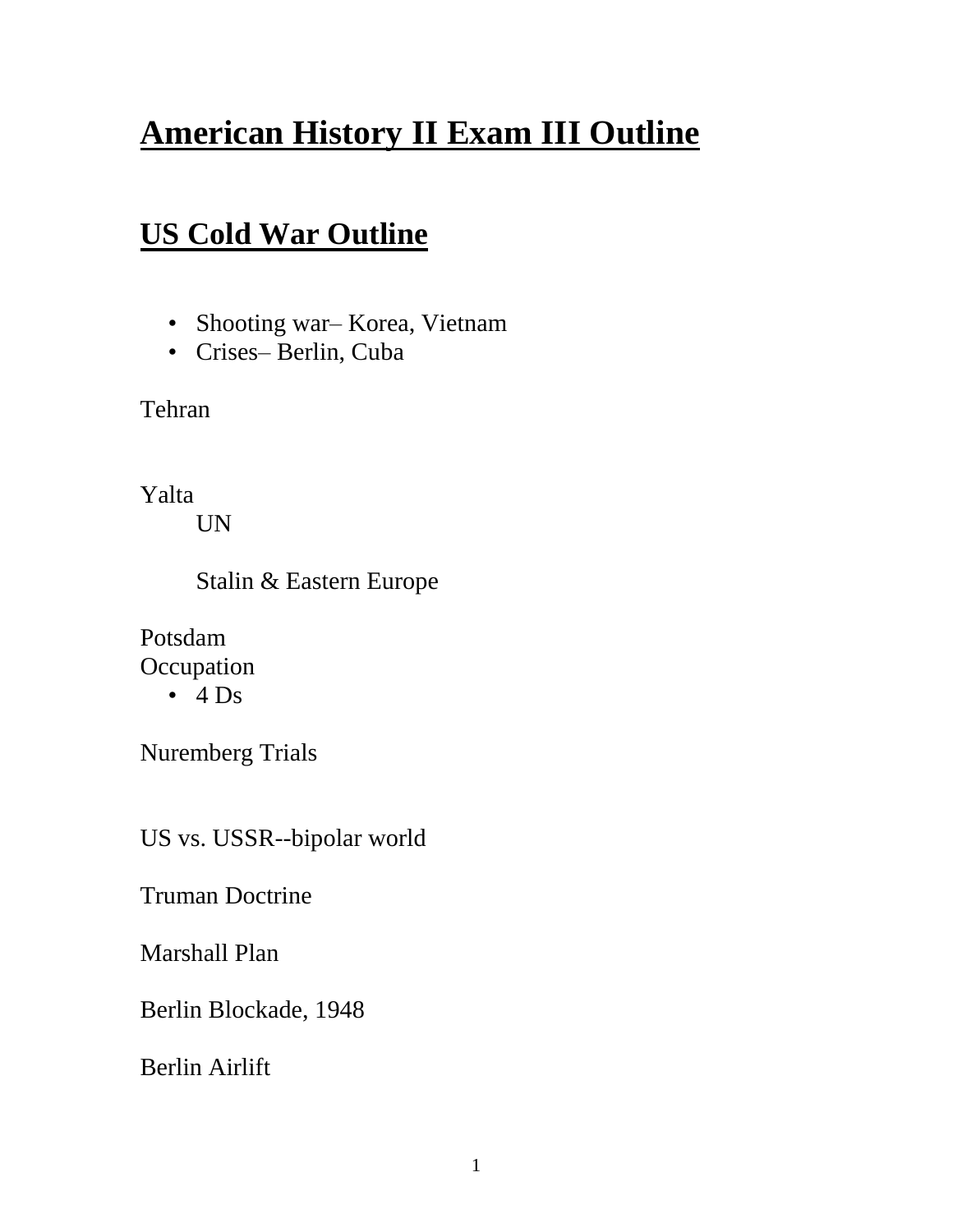# **American History II Exam III Outline**

### **US Cold War Outline**

- Shooting war– Korea, Vietnam
- Crises– Berlin, Cuba

Tehran

Yalta

UN

Stalin & Eastern Europe

Potsdam **Occupation** 

 $\cdot$  4 Ds

Nuremberg Trials

US vs. USSR--bipolar world

Truman Doctrine

Marshall Plan

Berlin Blockade, 1948

Berlin Airlift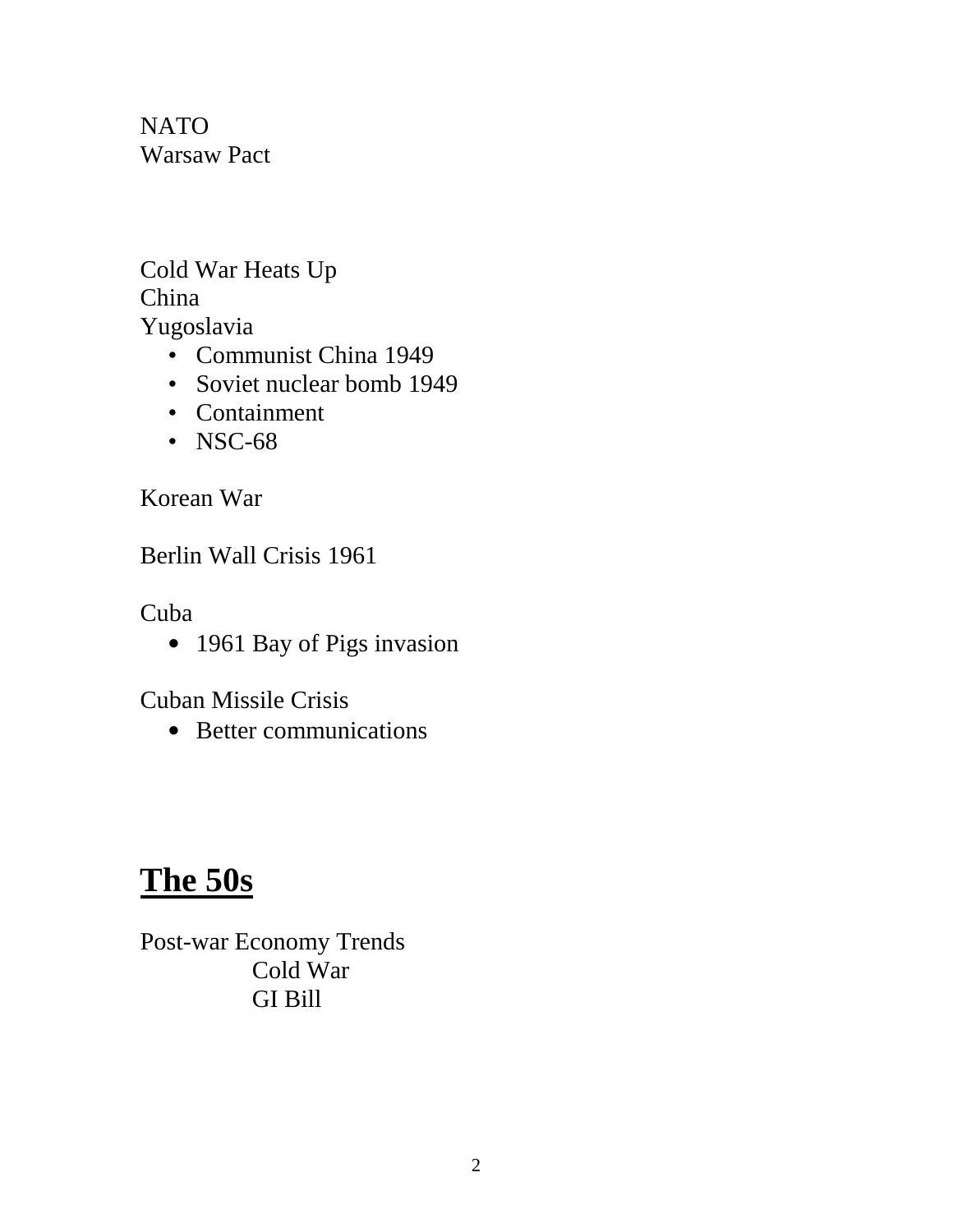NATO Warsaw Pact

Cold War Heats Up China Yugoslavia

- Communist China 1949
- Soviet nuclear bomb 1949
- Containment
- NSC-68

Korean War

Berlin Wall Crisis 1961

Cuba

• 1961 Bay of Pigs invasion

Cuban Missile Crisis

• Better communications

## **The 50s**

Post-war Economy Trends Cold War GI Bill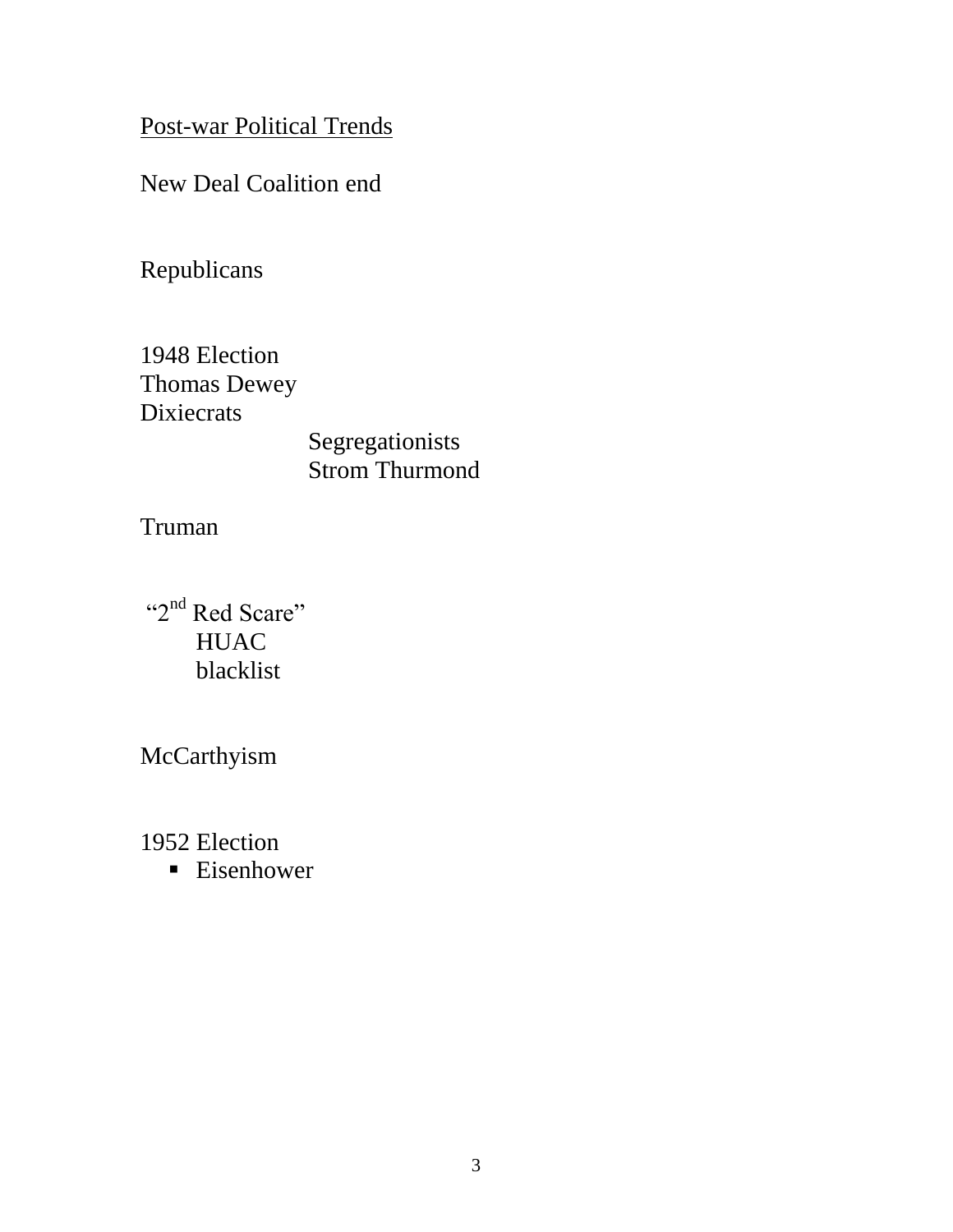Post-war Political Trends

New Deal Coalition end

Republicans

1948 Election Thomas Dewey **Dixiecrats** Segregationists Strom Thurmond

Truman

"2<sup>nd</sup> Red Scare" **HUAC** blacklist

McCarthyism

1952 Election

■ Eisenhower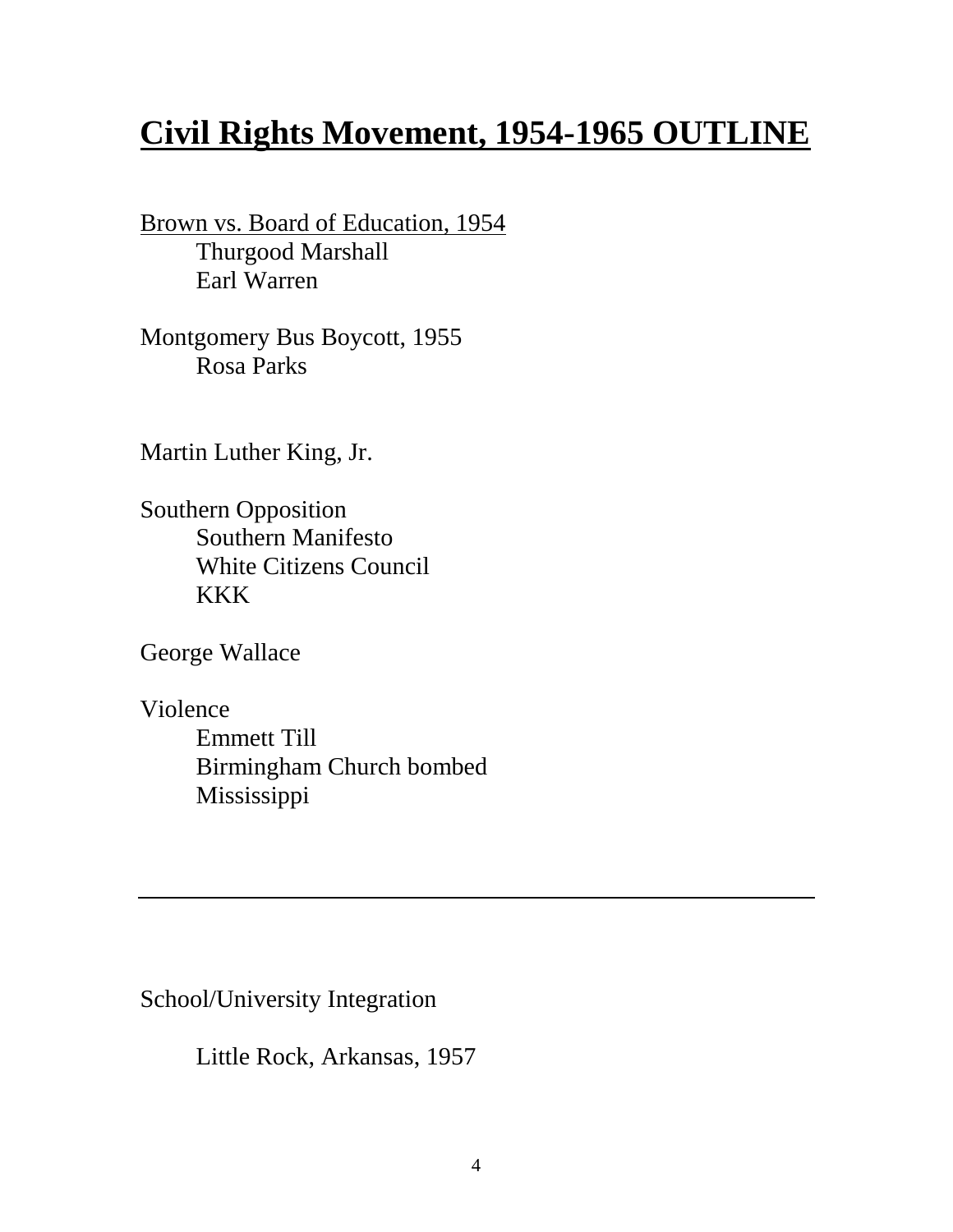## **Civil Rights Movement, 1954-1965 OUTLINE**

Brown vs. Board of Education, 1954 Thurgood Marshall Earl Warren

Montgomery Bus Boycott, 1955 Rosa Parks

Martin Luther King, Jr.

Southern Opposition Southern Manifesto White Citizens Council KKK

George Wallace

Violence Emmett Till Birmingham Church bombed Mississippi

School/University Integration

Little Rock, Arkansas, 1957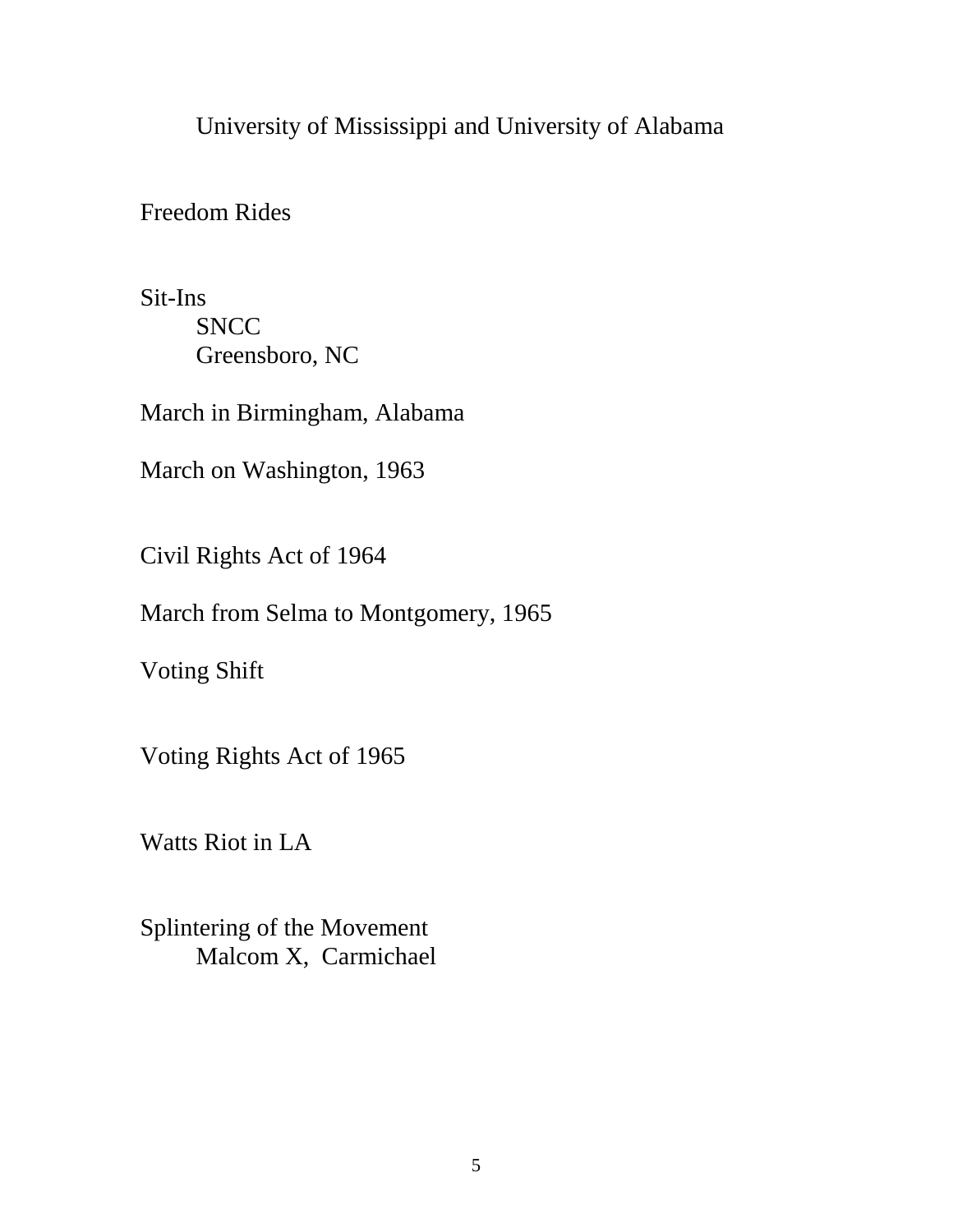University of Mississippi and University of Alabama

Freedom Rides

Sit-Ins **SNCC** Greensboro, NC

March in Birmingham, Alabama

March on Washington, 1963

Civil Rights Act of 1964

March from Selma to Montgomery, 1965

Voting Shift

Voting Rights Act of 1965

Watts Riot in LA

Splintering of the Movement Malcom X, Carmichael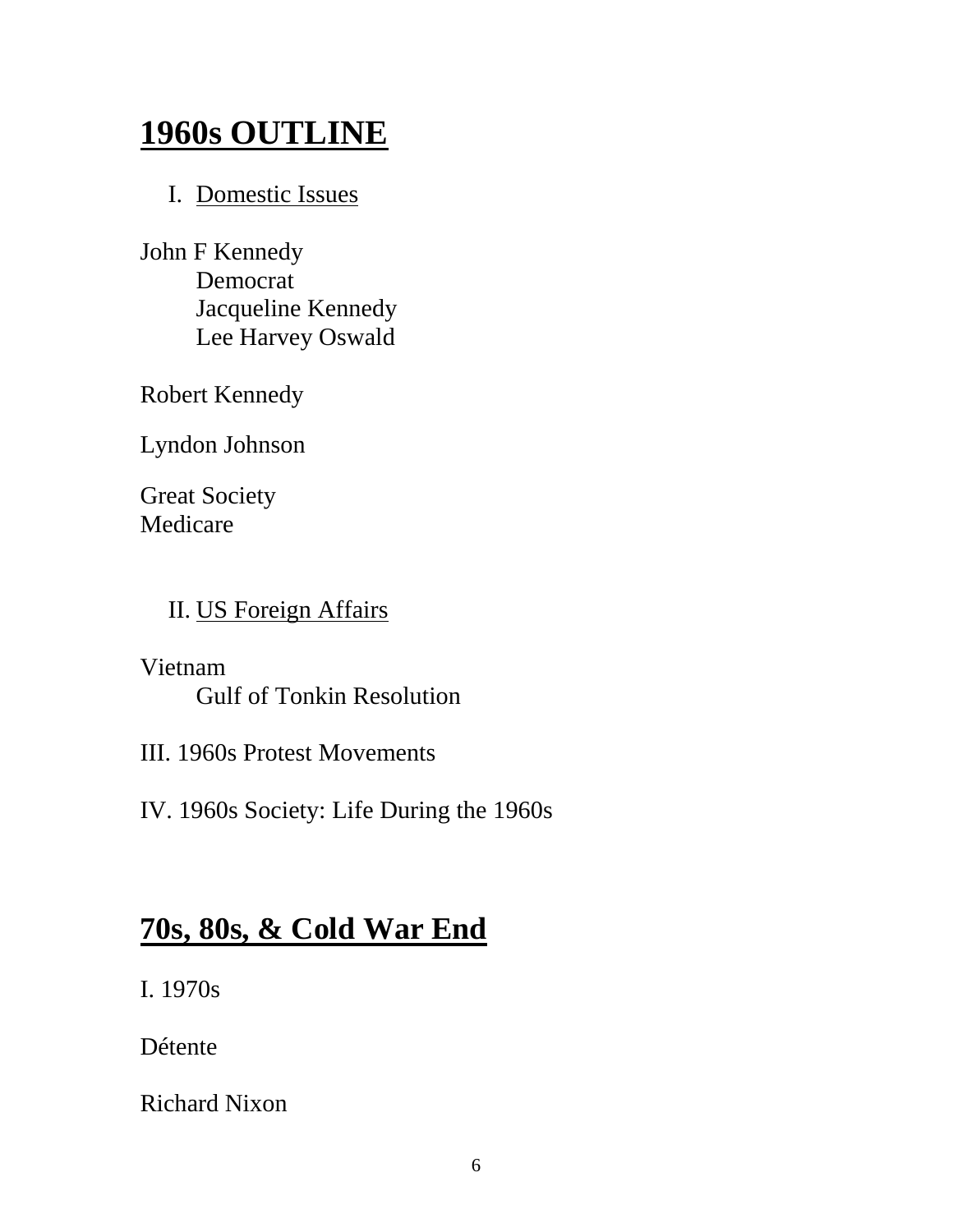## **1960s OUTLINE**

#### I. Domestic Issues

John F Kennedy Democrat Jacqueline Kennedy Lee Harvey Oswald

Robert Kennedy

Lyndon Johnson

Great Society Medicare

#### II. US Foreign Affairs

#### Vietnam Gulf of Tonkin Resolution

III. 1960s Protest Movements

IV. 1960s Society: Life During the 1960s

### **70s, 80s, & Cold War End**

I. 1970s

Détente

Richard Nixon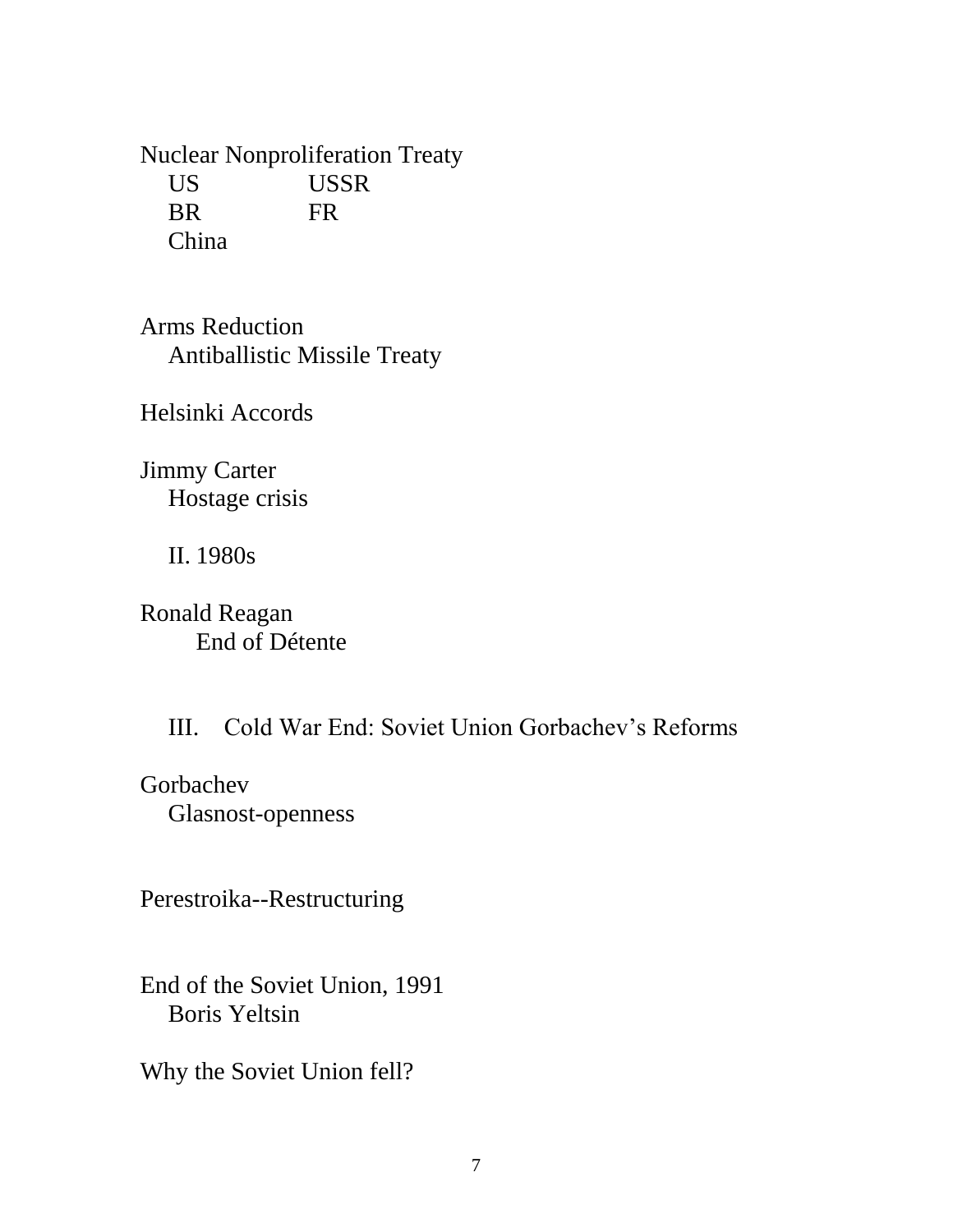Nuclear Nonproliferation Treaty US USSR BR FR China

Arms Reduction Antiballistic Missile Treaty

Helsinki Accords

Jimmy Carter Hostage crisis

II. 1980s

Ronald Reagan End of Détente

III. Cold War End: Soviet Union Gorbachev's Reforms

Gorbachev Glasnost-openness

Perestroika--Restructuring

End of the Soviet Union, 1991 Boris Yeltsin

Why the Soviet Union fell?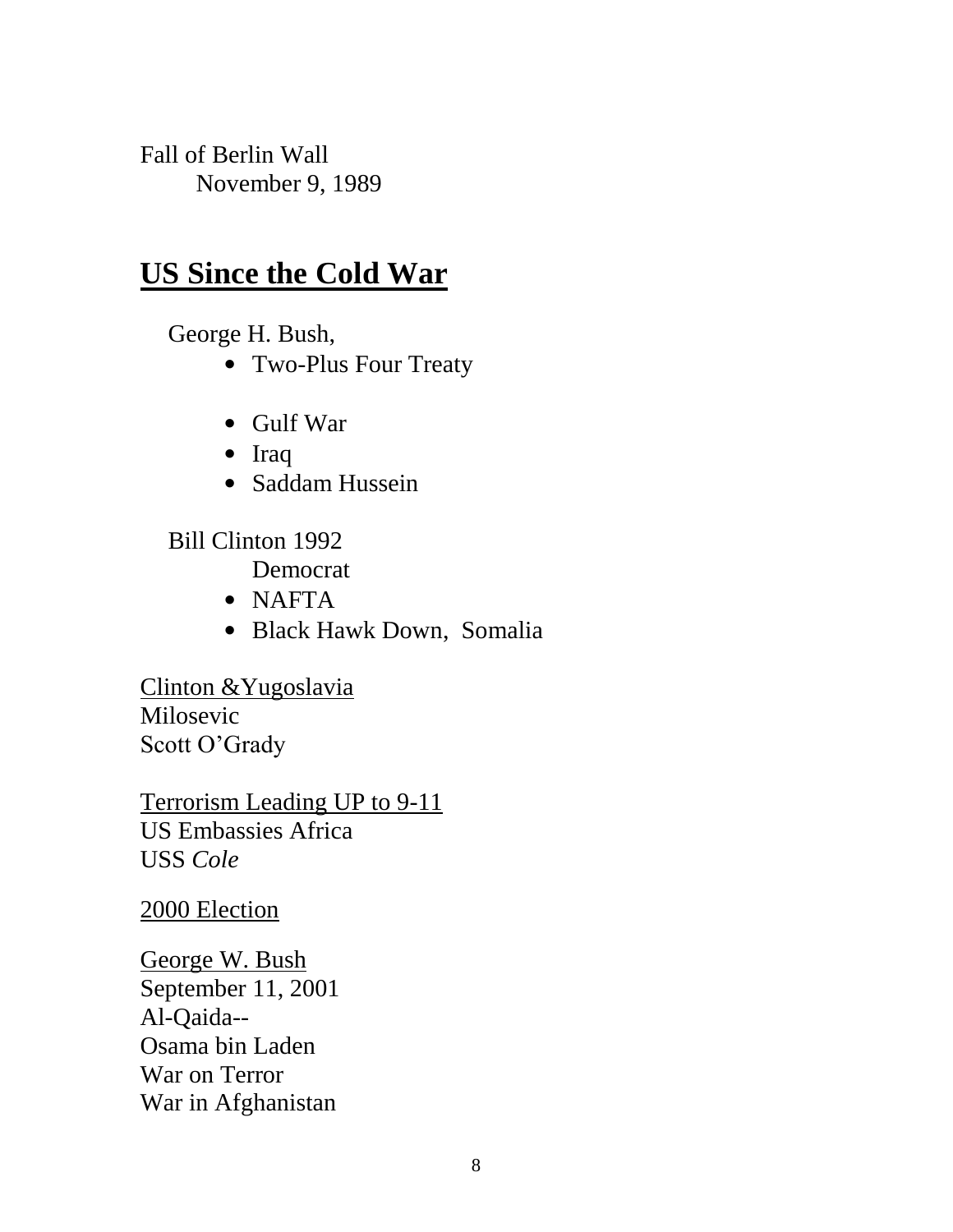Fall of Berlin Wall November 9, 1989

### **US Since the Cold War**

George H. Bush,

- Two-Plus Four Treaty
- Gulf War
- Iraq
- Saddam Hussein

Bill Clinton 1992

Democrat

- NAFTA
- Black Hawk Down, Somalia

Clinton & Yugoslavia Milosevic Scott O'Grady

Terrorism Leading UP to 9-11 US Embassies Africa USS *Cole*

2000 Election

George W. Bush September 11, 2001 Al-Qaida-- Osama bin Laden War on Terror War in Afghanistan